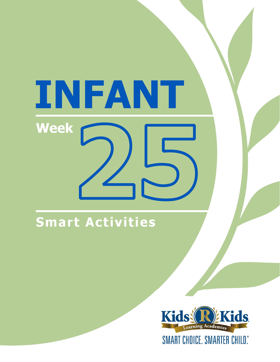# INFANT **Week**

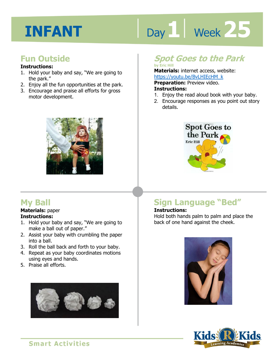# Day 1 | Week 25

# **Fun Outside**

#### **Instructions:**

- 1. Hold your baby and say, "We are going to the park."
- 2. Enjoy all the fun opportunities at the park.
- 3. Encourage and praise all efforts for gross motor development.



# **My Ball**

#### **Materials:** paper **Instructions:**

- 1. Hold your baby and say, "We are going to make a ball out of paper."
- 2. Assist your baby with crumbling the paper into a ball.
- 3. Roll the ball back and forth to your baby.
- 4. Repeat as your baby coordinates motions using eyes and hands.
- 5. Praise all efforts.



# **Spot Goes to the Park**

**by Eric Hill Materials:** internet access, website:

https://youtu.be/BvLHIEcHM\_k<br>**Preparation:** Preview video.<br>**Instructions:**<br>4 Friex the read aloud beek with your **Preparation:** Preview video. **Instructions:** 

- 1. Enjoy the read aloud book with your baby.
- 2. Encourage responses as you point out story details.



# **Sign Language "Bed"**

#### **Instructions:**

Hold both hands palm to palm and place the back of one hand against the cheek.



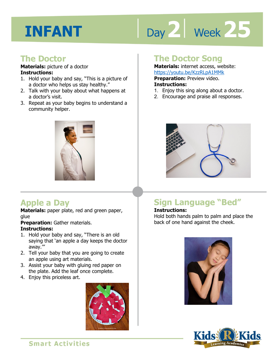# Day 2 | Week 25

# **The Doctor**

#### **Materials:** picture of a doctor **Instructions:**

- 1. Hold your baby and say, "This is a picture of a doctor who helps us stay healthy."
- 2. Talk with your baby about what happens at a doctor's visit.
- 3. Repeat as your baby begins to understand a community helper.



# **Apple a Day**

**Materials:** paper plate, red and green paper, glue

**Preparation:** Gather materials.

#### **Instructions:**

- 1. Hold your baby and say, "There is an old saying that 'an apple a day keeps the doctor away.'"
- 2. Tell your baby that you are going to create an apple using art materials.
- 3. Assist your baby with gluing red paper on the plate. Add the leaf once complete.
- 4. Enjoy this priceless art.



### **The Doctor Song**

**Materials:** internet access, website: https://youtu.be/KzzRLpA1MMk

**Preparation:** Preview video. **Instructions:** 

- 1. Enjoy this sing along about a doctor.
- 2. Encourage and praise all responses.



# **Sign Language "Bed"**

#### **Instructions:**

Hold both hands palm to palm and place the back of one hand against the cheek.



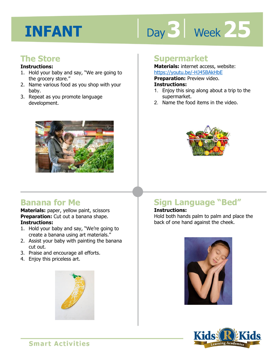# Day 3 | Week 25

# **The Store**

#### **Instructions:**

- 1. Hold your baby and say, "We are going to the grocery store."
- 2. Name various food as you shop with your baby.
- 3. Repeat as you promote language development.



### **Supermarket**

**Materials:** internet access, website: https://youtu.be/-HJ45BAkHbE

**Preparation: Preview video.** 

#### **Instructions:**

- **1 4**  1. Enjoy this sing along about a trip to the supermarket.
- 2. Name the food items in the video.



# **Banana for Me**

**Materials:** paper, yellow paint, scissors **Preparation:** Cut out a banana shape. **Instructions:** 

- 1. Hold your baby and say, "We're going to create a banana using art materials."
- 2. Assist your baby with painting the banana cut out.
- 3. Praise and encourage all efforts.
- 4. Enjoy this priceless art.



# **Sign Language "Bed"**

#### **Instructions:**

Hold both hands palm to palm and place the back of one hand against the cheek.



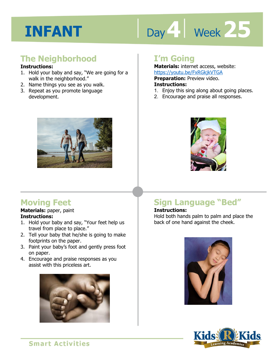# Day 4 Week 25

# **The Neighborhood**

#### **Instructions:**

- 1. Hold your baby and say, "We are going for a walk in the neighborhood."
- 2. Name things you see as you walk.
- 3. Repeat as you promote language development.



# **I'm Going**

**Materials:** internet access, website: https://youtu.be/FxRGkjkVTGA

**Preparation: Preview video.** 

#### **Instructions:**

- **IRCDS.//YOULU.DE/I ANOKINT TOA**<br>**Preparation:** Preview video.<br>**Instructions:**<br>1. Enjoy this sing along about going places.
- 2. Encourage and praise all responses.



# **Moving Feet**

#### **Materials:** paper, paint **Instructions:**

- 1. Hold your baby and say, "Your feet help us travel from place to place."
- 2. Tell your baby that he/she is going to make footprints on the paper.
- 3. Paint your baby's foot and gently press foot on paper.
- 4. Encourage and praise responses as you assist with this priceless art.



# **Sign Language "Bed"**

#### **Instructions:**

Hold both hands palm to palm and place the back of one hand against the cheek.